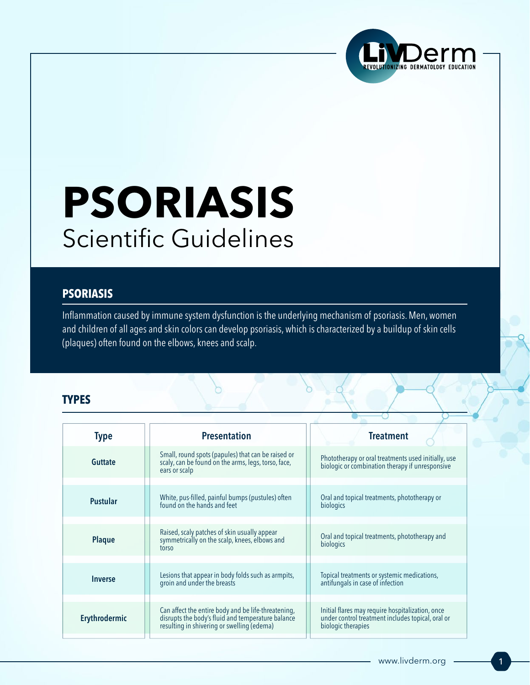

# **PSORIASIS** Scientific Guidelines

#### **PSORIASIS**

Inflammation caused by immune system dysfunction is the underlying mechanism of psoriasis. Men, women and children of all ages and skin colors can develop psoriasis, which is characterized by a buildup of skin cells (plaques) often found on the elbows, knees and scalp.

#### **TYPES**

| <b>Type</b>                  | <b>Presentation</b>                                                                                                                                    | <b>Treatment</b>                                                                                                            |
|------------------------------|--------------------------------------------------------------------------------------------------------------------------------------------------------|-----------------------------------------------------------------------------------------------------------------------------|
| <b>Guttate</b>               | Small, round spots (papules) that can be raised or<br>scaly, can be found on the arms, legs, torso, face,<br>ears or scalp                             | Phototherapy or oral treatments used initially, use<br>biologic or combination therapy if unresponsive                      |
|                              |                                                                                                                                                        |                                                                                                                             |
| <b>Pustular</b>              | White, pus-filled, painful bumps (pustules) often<br>found on the hands and feet                                                                       | Oral and topical treatments, phototherapy or<br>biologics                                                                   |
|                              |                                                                                                                                                        |                                                                                                                             |
| <b>Plaque</b>                | Raised, scaly patches of skin usually appear<br>symmetrically on the scalp, knees, elbows and<br>torso                                                 | Oral and topical treatments, phototherapy and<br>biologics                                                                  |
|                              |                                                                                                                                                        |                                                                                                                             |
| <i><u><b>Inverse</b></u></i> | Lesions that appear in body folds such as armpits,<br>groin and under the breasts                                                                      | Topical treatments or systemic medications,<br>antifungals in case of infection                                             |
|                              |                                                                                                                                                        |                                                                                                                             |
| Erythrodermic                | Can affect the entire body and be life-threatening,<br>disrupts the body's fluid and temperature balance<br>resulting in shivering or swelling (edema) | Initial flares may require hospitalization, once<br>under control treatment includes topical, oral or<br>biologic therapies |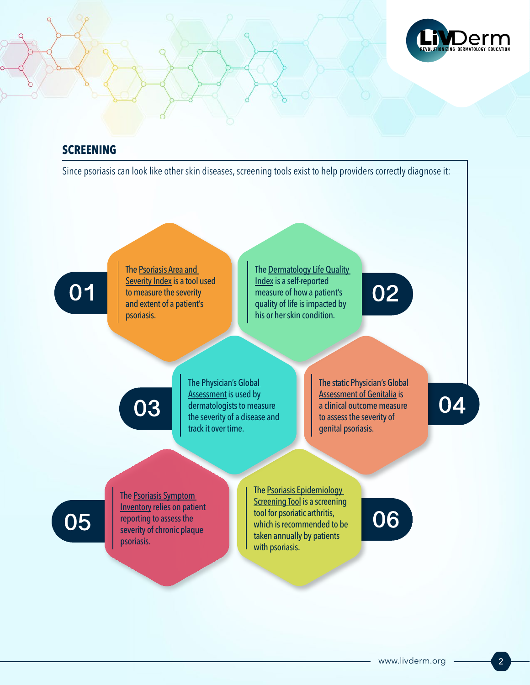

### **SCREENING**

Since psoriasis can look like other skin diseases, screening tools exist to help providers correctly diagnose it:



The Psoriasis Area and [Severity Index](https://dermnetnz.org/topics/pasi-score/) is a tool used to measure the severity and extent of a patient's psoriasis.

The Dermatology Life Quality [Index](https://onedrive.live.com/view.aspx?resid=783C42D10B97B00!220&ithint=file%2cdocx&wdLOR=c464FEC82-2356-664D-B00B-33A2CE37C96F&authkey=!AC_mdyPlsVtBYx8) is a self-reported measure of how a patient's quality of life is impacted by his or her skin condition.

03

The [Physician's Global](https://jamanetwork.com/journals/jamadermatology/fullarticle/2039085)  [Assessment](https://jamanetwork.com/journals/jamadermatology/fullarticle/2039085) is used by dermatologists to measure the severity of a disease and track it over time.

The static Physician's Global [Assessment of Genitalia](https://jddonline.com/articles/dermatology/S1545961617P0793X) is a clinical outcome measure to assess the severity of genital psoriasis.

02

04

05

The [Psoriasis Symptom](https://www.evidera.com/psoriasis-symptom-inventory-psi/)  [Inventory](https://www.evidera.com/psoriasis-symptom-inventory-psi/) relies on patient reporting to assess the severity of chronic plaque psoriasis.

The [Psoriasis Epidemiology](https://www.bad.org.uk/shared/get-file.ashx?id=1655&itemtype=document)  **Screening Tool** is a screening tool for psoriatic arthritis, which is recommended to be taken annually by patients with psoriasis.

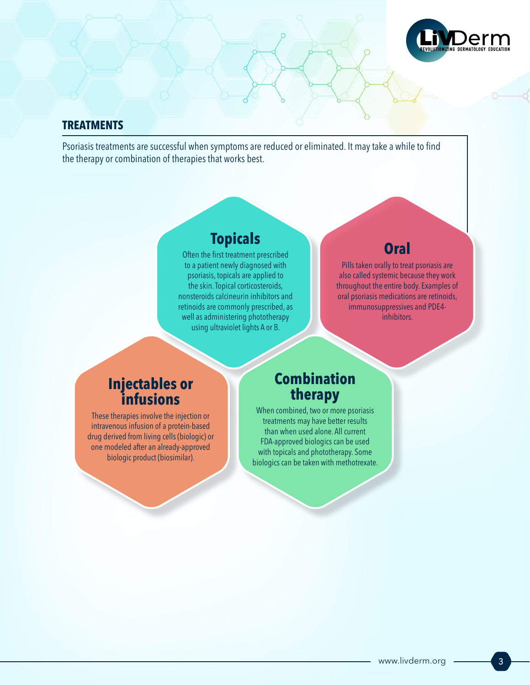

#### **TREATMENTS**

Psoriasis treatments are successful when symptoms are reduced or eliminated. It may take a while to find the therapy or combination of therapies that works best.

# **Topicals**

Often the first treatment prescribed to a patient newly diagnosed with psoriasis, topicals are applied to the skin. Topical corticosteroids, nonsteroids calcineurin inhibitors and retinoids are commonly prescribed, as well as administering phototherapy using ultraviolet lights A or B.

# **Oral**

Pills taken orally to treat psoriasis are also called systemic because they work throughout the entire body. Examples of oral psoriasis medications are retinoids, immunosuppressives and PDE4 inhibitors.

## **Injectables or infusions**

These therapies involve the injection or intravenous infusion of a protein-based drug derived from living cells (biologic) or one modeled after an already-approved biologic product (biosimilar).

## **Combination therapy**

When combined, two or more psoriasis treatments may have better results than when used alone. All current FDA-approved biologics can be used with topicals and phototherapy. Some biologics can be taken with methotrexate.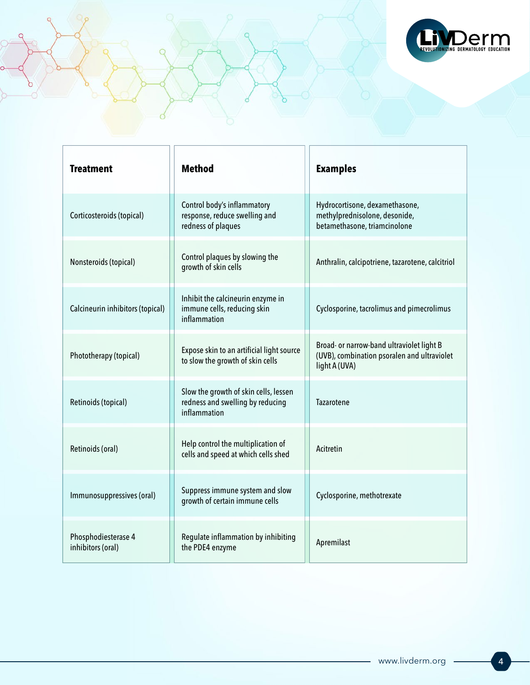

| <b>Treatment</b>                         | <b>Method</b>                                                                             | <b>Examples</b>                                                                                           |
|------------------------------------------|-------------------------------------------------------------------------------------------|-----------------------------------------------------------------------------------------------------------|
| Corticosteroids (topical)                | Control body's inflammatory<br>response, reduce swelling and<br>redness of plaques        | Hydrocortisone, dexamethasone,<br>methylprednisolone, desonide,<br>betamethasone, triamcinolone           |
| Nonsteroids (topical)                    | Control plaques by slowing the<br>growth of skin cells                                    | Anthralin, calcipotriene, tazarotene, calcitriol                                                          |
| Calcineurin inhibitors (topical)         | Inhibit the calcineurin enzyme in<br>immune cells, reducing skin<br>inflammation          | Cyclosporine, tacrolimus and pimecrolimus                                                                 |
| Phototherapy (topical)                   | Expose skin to an artificial light source<br>to slow the growth of skin cells             | Broad- or narrow-band ultraviolet light B<br>(UVB), combination psoralen and ultraviolet<br>light A (UVA) |
| Retinoids (topical)                      | Slow the growth of skin cells, lessen<br>redness and swelling by reducing<br>inflammation | Tazarotene                                                                                                |
| Retinoids (oral)                         | Help control the multiplication of<br>cells and speed at which cells shed                 | Acitretin                                                                                                 |
| Immunosuppressives (oral)                | Suppress immune system and slow<br>growth of certain immune cells                         | Cyclosporine, methotrexate                                                                                |
| Phosphodiesterase 4<br>inhibitors (oral) | Regulate inflammation by inhibiting<br>the PDE4 enzyme                                    | Apremilast                                                                                                |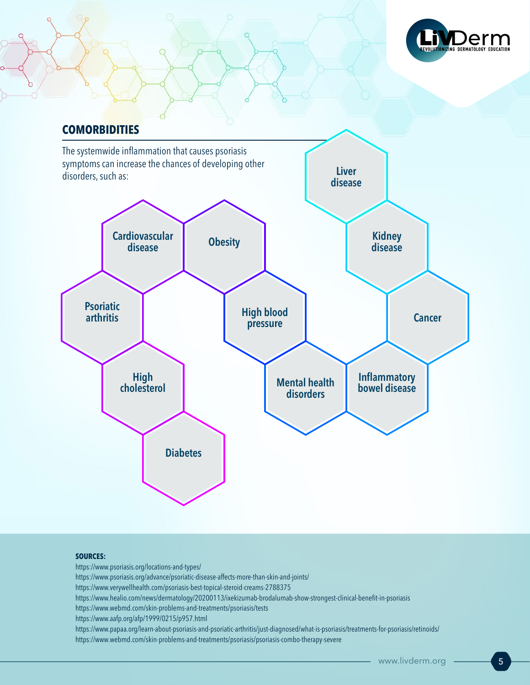

## **COMORBIDITIES**



#### **SOURCES:**

https://www.psoriasis.org/locations-and-types/ https://www.psoriasis.org/advance/psoriatic-disease-affects-more-than-skin-and-joints/ https://www.verywellhealth.com/psoriasis-best-topical-steroid-creams-2788375 https://www.healio.com/news/dermatology/20200113/ixekizumab-brodalumab-show-strongest-clinical-benefit-in-psoriasis https://www.webmd.com/skin-problems-and-treatments/psoriasis/tests https://www.aafp.org/afp/1999/0215/p957.html https://www.papaa.org/learn-about-psoriasis-and-psoriatic-arthritis/just-diagnosed/what-is-psoriasis/treatments-for-psoriasis/retinoids/ https://www.webmd.com/skin-problems-and-treatments/psoriasis/psoriasis-combo-therapy-severe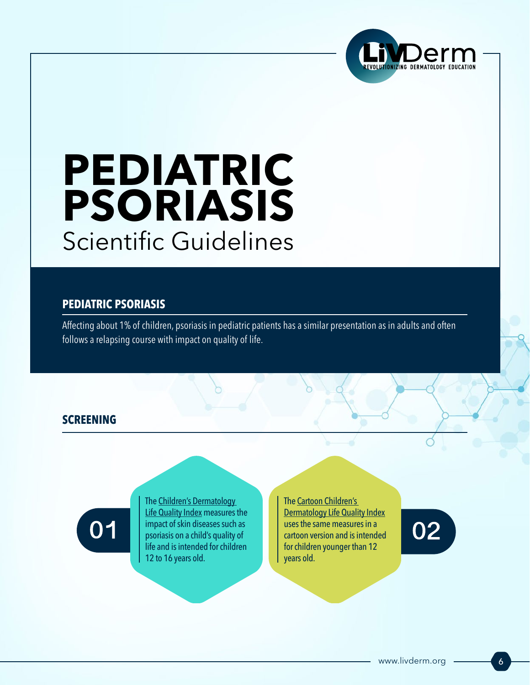

# **PEDIATRIC PSORIASIS**  Scientific Guidelines

#### **PEDIATRIC PSORIASIS**

Affecting about 1% of children, psoriasis in pediatric patients has a similar presentation as in adults and often follows a relapsing course with impact on quality of life.

#### **SCREENING**

01

The [Children's Dermatology](https://onedrive.live.com/view.aspx?resid=783C42D10B97B00!222&ithint=file%2cdocx&wdLOR=c542B56DC-0E18-C244-B728-C872AB2C1E6D&authkey=!AITDHL0ycl2Ubnc)  [Life Quality Index](https://onedrive.live.com/view.aspx?resid=783C42D10B97B00!222&ithint=file%2cdocx&wdLOR=c542B56DC-0E18-C244-B728-C872AB2C1E6D&authkey=!AITDHL0ycl2Ubnc) measures the impact of skin diseases such as psoriasis on a child's quality of life and is intended for children 12 to 16 years old.

The [Cartoon Children's](https://onedrive.live.com/view.aspx?resid=783C42D10B97B00!224&ithint=file%2cdocx&wdLOR=cCCC1805B-DC8E-124D-B269-E96B4B46A9E8&authkey=!ANsWrvXw_MLkjFY)  [Dermatology Life Quality Index](https://onedrive.live.com/view.aspx?resid=783C42D10B97B00!224&ithint=file%2cdocx&wdLOR=cCCC1805B-DC8E-124D-B269-E96B4B46A9E8&authkey=!ANsWrvXw_MLkjFY) uses the same measures in a cartoon version and is intended for children younger than 12 years old.

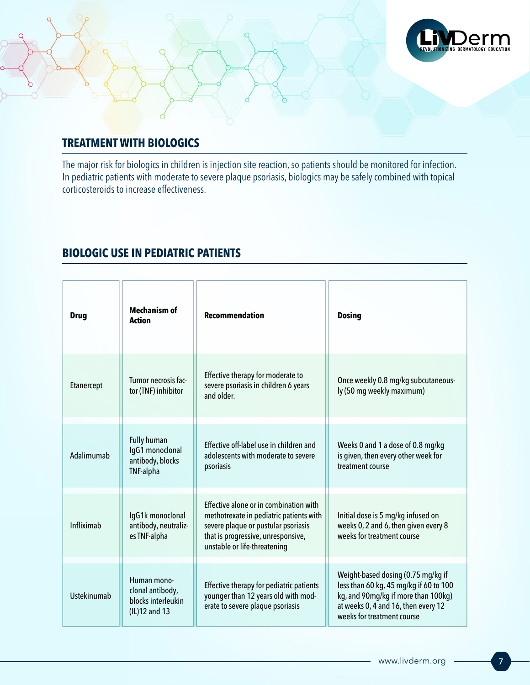

### **TREATMENT WITH BIOLOGICS**

The major risk for biologics in children is injection site reaction, so patients should be monitored for infection. In pediatric patients with moderate to severe plaque psoriasis, biologics may be safely combined with topical corticosteroids to increase effectiveness.

#### **BIOLOGIC USE IN PEDIATRIC PATIENTS**

| <b>Drug</b> | <b>Mechanism of</b><br><b>Action</b>                                          | <b>Recommendation</b>                                                                                                                                                                          | <b>Dosing</b>                                                                                                                                                                            |
|-------------|-------------------------------------------------------------------------------|------------------------------------------------------------------------------------------------------------------------------------------------------------------------------------------------|------------------------------------------------------------------------------------------------------------------------------------------------------------------------------------------|
| Etanercept  | Tumor necrosis fac-<br>tor (TNF) inhibitor                                    | Effective therapy for moderate to<br>severe psoriasis in children 6 years<br>and older.                                                                                                        | Once weekly 0.8 mg/kg subcutaneous-<br>ly (50 mg weekly maximum)                                                                                                                         |
| Adalimumab  | <b>Fully human</b><br>IgG1 monoclonal<br>antibody, blocks<br><b>TNF-alpha</b> | Effective off-label use in children and<br>adolescents with moderate to severe<br>psoriasis                                                                                                    | Weeks 0 and 1 a dose of 0.8 mg/kg<br>is given, then every other week for<br>treatment course                                                                                             |
| Infliximab  | IgG1k monoclonal<br>antibody, neutraliz-<br>es TNF-alpha                      | Effective alone or in combination with<br>methotrexate in pediatric patients with<br>severe plaque or pustular psoriasis<br>that is progressive, unresponsive,<br>unstable or life-threatening | Initial dose is 5 mg/kg infused on<br>weeks 0, 2 and 6, then given every 8<br>weeks for treatment course                                                                                 |
| Ustekinumab | Human mono-<br>clonal antibody,<br>blocks interleukin<br>(IL)12 and 13        | Effective therapy for pediatric patients<br>younger than 12 years old with mod-<br>erate to severe plaque psoriasis                                                                            | Weight-based dosing (0.75 mg/kg if<br>less than 60 kg, 45 mg/kg if 60 to 100<br>kg, and 90mg/kg if more than 100kg)<br>at weeks 0, 4 and 16, then every 12<br>weeks for treatment course |